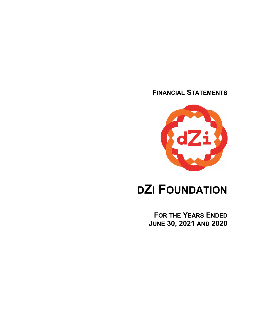# **FINANCIAL STATEMENTS**



# **DZI FOUNDATION**

**FOR THE YEARS ENDED JUNE 30, 2021 AND 2020**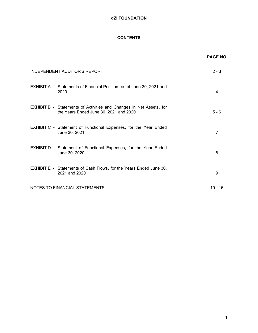# **CONTENTS**

| <b>INDEPENDENT AUDITOR'S REPORT</b>                                                                           | $2 - 3$ |
|---------------------------------------------------------------------------------------------------------------|---------|
| EXHIBIT A - Statements of Financial Position, as of June 30, 2021 and<br>2020                                 | 4       |
| EXHIBIT B - Statements of Activities and Changes in Net Assets, for<br>the Years Ended June 30, 2021 and 2020 | $5 - 6$ |
| EXHIBIT C - Statement of Functional Expenses, for the Year Ended<br>June 30, 2021                             | 7       |
| EXHIBIT D - Statement of Functional Expenses, for the Year Ended<br>June 30, 2020                             | 8       |
| EXHIBIT E - Statements of Cash Flows, for the Years Ended June 30,<br>2021 and 2020                           | 9       |
| NOTES TO FINANCIAL STATEMENTS                                                                                 | 10 - 16 |

**PAGE NO.**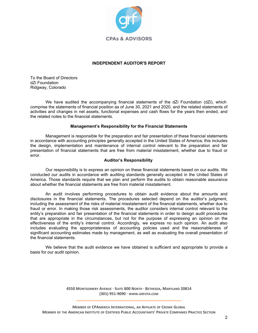

# **INDEPENDENT AUDITOR'S REPORT**

To the Board of Directors dZi Foundation Ridgway, Colorado

We have audited the accompanying financial statements of the dZi Foundation (dZi), which comprise the statements of financial position as of June 30, 2021 and 2020, and the related statements of activities and changes in net assets, functional expenses and cash flows for the years then ended, and the related notes to the financial statements.

# **Management's Responsibility for the Financial Statements**

Management is responsible for the preparation and fair presentation of these financial statements in accordance with accounting principles generally accepted in the United States of America; this includes the design, implementation and maintenance of internal control relevant to the preparation and fair presentation of financial statements that are free from material misstatement, whether due to fraud or error.

# **Auditor's Responsibility**

Our responsibility is to express an opinion on these financial statements based on our audits. We conducted our audits in accordance with auditing standards generally accepted in the United States of America. Those standards require that we plan and perform the audits to obtain reasonable assurance about whether the financial statements are free from material misstatement.

An audit involves performing procedures to obtain audit evidence about the amounts and disclosures in the financial statements. The procedures selected depend on the auditor's judgment, including the assessment of the risks of material misstatement of the financial statements, whether due to fraud or error. In making those risk assessments, the auditor considers internal control relevant to the entity's preparation and fair presentation of the financial statements in order to design audit procedures that are appropriate in the circumstances, but not for the purpose of expressing an opinion on the effectiveness of the entity's internal control. Accordingly, we express no such opinion. An audit also includes evaluating the appropriateness of accounting policies used and the reasonableness of significant accounting estimates made by management, as well as evaluating the overall presentation of the financial statements.

We believe that the audit evidence we have obtained is sufficient and appropriate to provide a basis for our audit opinion.

> **4550 MONTGOMERY AVENUE · SUITE 800 NORTH · BETHESDA, MARYLAND 20814 (301) 951-9090 · WWW.GRFCPA.COM \_\_\_\_\_\_\_\_\_\_\_\_\_\_\_\_\_\_\_\_\_\_\_\_\_\_\_\_\_\_\_\_\_\_\_\_\_\_\_\_\_\_\_\_\_\_\_\_\_\_**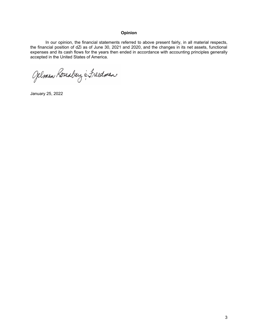# **Opinion**

In our opinion, the financial statements referred to above present fairly, in all material respects, the financial position of dZi as of June 30, 2021 and 2020, and the changes in its net assets, functional expenses and its cash flows for the years then ended in accordance with accounting principles generally accepted in the United States of America.

Gelman Roseaberg & Freedman

January 25, 2022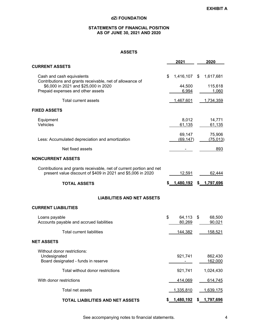# **STATEMENTS OF FINANCIAL POSITION AS OF JUNE 30, 2021 AND 2020**

# **ASSETS**

|                                                                                                                                    |     | 2021                | 2020                   |
|------------------------------------------------------------------------------------------------------------------------------------|-----|---------------------|------------------------|
| <b>CURRENT ASSETS</b>                                                                                                              |     |                     |                        |
| Cash and cash equivalents<br>Contributions and grants receivable, net of allowance of                                              | \$  | 1,416,107           | \$<br>1,617,681        |
| \$6,000 in 2021 and \$25,000 in 2020<br>Prepaid expenses and other assets                                                          |     | 44,500<br>6,994     | 115,618<br>1,060       |
| Total current assets                                                                                                               |     | <u>1,467,601</u>    | <u>1,734,359</u>       |
| <b>FIXED ASSETS</b>                                                                                                                |     |                     |                        |
| Equipment<br>Vehicles                                                                                                              |     | 8,012<br>61,135     | 14,771<br>61,135       |
| Less: Accumulated depreciation and amortization                                                                                    |     | 69,147<br>(69, 147) | 75,906<br>(75, 013)    |
| Net fixed assets                                                                                                                   |     |                     | 893                    |
| <b>NONCURRENT ASSETS</b>                                                                                                           |     |                     |                        |
| Contributions and grants receivable, net of current portion and net<br>present value discount of \$409 in 2021 and \$5,006 in 2020 |     | 12,591              | 62,444                 |
| <b>TOTAL ASSETS</b>                                                                                                                |     | 1,480,192           | \$ 1,797,696           |
| <b>LIABILITIES AND NET ASSETS</b>                                                                                                  |     |                     |                        |
| <b>CURRENT LIABILITIES</b>                                                                                                         |     |                     |                        |
| Loans payable<br>Accounts payable and accrued liabilities                                                                          | \$  | 64,113<br>80,269    | \$<br>68,500<br>90,021 |
| <b>Total current liabilities</b>                                                                                                   |     | 144,382             | 158,521                |
| NET ASSETS                                                                                                                         |     |                     |                        |
| Without donor restrictions:                                                                                                        |     | 921,741             |                        |
| Undesignated<br>Board designated - funds in reserve                                                                                |     |                     | 862,430<br>162,000     |
| Total without donor restrictions                                                                                                   |     | 921,741             | 1,024,430              |
| With donor restrictions                                                                                                            |     | 414,069             | 614,745                |
| Total net assets                                                                                                                   |     | <u>1,335,810</u>    | 1,639,175              |
| <b>TOTAL LIABILITIES AND NET ASSETS</b>                                                                                            | \$_ | <u>1,480,192</u>    | \$ 1,797,696           |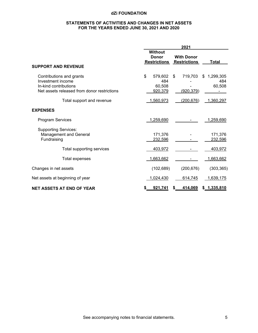# **STATEMENTS OF ACTIVITIES AND CHANGES IN NET ASSETS FOR THE YEARS ENDED JUNE 30, 2021 AND 2020**

|                                                                             | 2021                                                  |                                          |                        |  |
|-----------------------------------------------------------------------------|-------------------------------------------------------|------------------------------------------|------------------------|--|
| <b>SUPPORT AND REVENUE</b>                                                  | <b>Without</b><br><b>Donor</b><br><b>Restrictions</b> | <b>With Donor</b><br><b>Restrictions</b> | Total                  |  |
|                                                                             |                                                       |                                          |                        |  |
| Contributions and grants<br>Investment income                               | \$<br>579,602<br>484                                  | 719,703<br>\$                            | 1,299,305<br>\$<br>484 |  |
| In-kind contributions<br>Net assets released from donor restrictions        | 60,508<br>920,379                                     | (920, 379)                               | 60,508                 |  |
| Total support and revenue                                                   | 1,560,973                                             | (200, 676)                               | 1,360,297              |  |
| <b>EXPENSES</b>                                                             |                                                       |                                          |                        |  |
| Program Services                                                            | 1,259,690                                             |                                          | 1,259,690              |  |
| <b>Supporting Services:</b><br><b>Management and General</b><br>Fundraising | 171,376<br>232,596                                    |                                          | 171,376<br>232,596     |  |
| Total supporting services                                                   | 403,972                                               |                                          | 403,972                |  |
| Total expenses                                                              | 1,663,662                                             |                                          | 1,663,662              |  |
| Changes in net assets                                                       | (102, 689)                                            | (200, 676)                               | (303, 365)             |  |
| Net assets at beginning of year                                             | 1,024,430                                             | 614,745                                  | 1,639,175              |  |
| <b>NET ASSETS AT END OF YEAR</b>                                            | 921,741                                               | <u>414,069</u><br>\$                     | \$ 1,335,810           |  |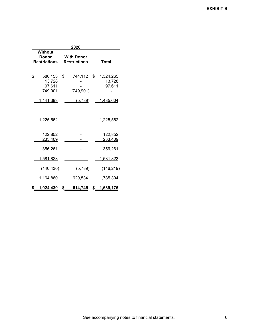|                                              |                                          | 2020                        |     |                               |
|----------------------------------------------|------------------------------------------|-----------------------------|-----|-------------------------------|
| Without<br>Donor<br><b>Restrictions</b>      | <b>With Donor</b><br><b>Restrictions</b> |                             |     | Total                         |
| \$<br>580,153<br>13,728<br>97,611<br>749,901 | \$                                       | 744.112<br><u>(749,901)</u> | \$  | 1,324,265<br>13,728<br>97,611 |
| <u>1,441,393</u>                             |                                          | (5,789)                     |     | 1,435,604                     |
| <u>1,225,562</u>                             |                                          |                             |     | <u>1,225,562</u>              |
| 122,852                                      |                                          |                             |     | 122,852                       |
| 233,409                                      |                                          |                             |     | 233,409                       |
| 356,261                                      |                                          |                             |     | 356,261                       |
| <u>1,581,823</u>                             |                                          |                             |     | <u>1,581,823</u>              |
| (140, 430)                                   |                                          | (5,789)                     |     | (146, 219)                    |
| <u>1,164,860</u>                             |                                          | 620,534                     |     | <u>1,785,394</u>              |
| \$<br>1,024,430                              | \$                                       | 614,745                     | \$_ | <u>1,639,175</u>              |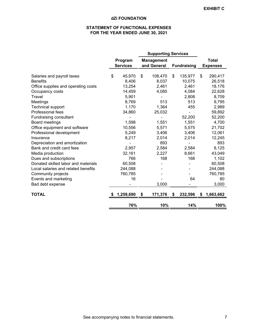# **STATEMENT OF FUNCTIONAL EXPENSES FOR THE YEAR ENDED JUNE 30, 2021**

|                                     |                 | <b>Supporting Services</b> |                   |      |                    |    |                 |
|-------------------------------------|-----------------|----------------------------|-------------------|------|--------------------|----|-----------------|
|                                     | Program         |                            | <b>Management</b> |      |                    |    | <b>Total</b>    |
|                                     | <b>Services</b> |                            | and General       |      | <b>Fundraising</b> |    | <b>Expenses</b> |
|                                     |                 |                            |                   | \$   |                    |    |                 |
| Salaries and payroll taxes          | \$<br>45,970    | \$                         | 108,470           |      | 135,977            | \$ | 290,417         |
| <b>Benefits</b>                     | 8,406           |                            | 8,037             |      | 10,075             |    | 26,518          |
| Office supplies and operating costs | 13,254          |                            | 2,461             |      | 2,461              |    | 18,176          |
| Occupancy costs                     | 14,459          |                            | 4,085             |      | 4,084              |    | 22,628          |
| Travel                              | 5,901           |                            |                   |      | 2,808              |    | 8,709           |
| Meetings                            | 8,769           |                            | 513               |      | 513                |    | 9,795           |
| <b>Technical support</b>            | 1,170           |                            | 1,364             |      | 455                |    | 2,989           |
| Professional fees                   | 34,860          |                            | 25,032            |      | $\blacksquare$     |    | 59,892          |
| Fundraising consultant              |                 |                            |                   |      | 52,200             |    | 52,200          |
| Board meetings                      | 1,598           |                            | 1,551             |      | 1,551              |    | 4,700           |
| Office equipment and software       | 10,556          |                            | 5,571             |      | 5,575              |    | 21,702          |
| Professional development            | 5,249           |                            | 3,406             |      | 3,406              |    | 12,061          |
| Insurance                           | 8,217           |                            | 2,014             |      | 2,014              |    | 12,245          |
| Depreciation and amortization       |                 |                            | 893               |      |                    |    | 893             |
| Bank and credit card fees           | 2,957           |                            | 2,584             |      | 2,584              |    | 8,125           |
| Media production                    | 32,161          |                            | 2,227             |      | 8,661              |    | 43,049          |
| Dues and subscriptions              | 766             |                            | 168               |      | 168                |    | 1,102           |
| Donated skilled labor and materials | 60,508          |                            |                   |      |                    |    | 60,508          |
| Local salaries and related benefits | 244,088         |                            |                   |      |                    |    | 244,088         |
| Community projects                  | 760,785         |                            |                   |      |                    |    | 760,785         |
| Events and marketing                | 16              |                            |                   |      | 64                 |    | 80              |
| Bad debt expense                    |                 |                            | 3,000             |      |                    |    | 3,000           |
| TOTAL                               | 1,259,690       | \$                         | 171,376           | - \$ | 232,596            | S. | 1,663,662       |
|                                     | 76%             |                            | 10%               |      | 14%                |    | 100%            |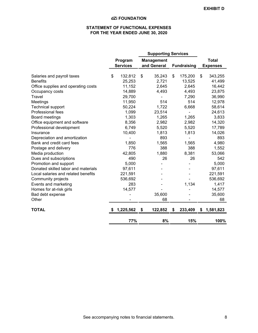# **STATEMENT OF FUNCTIONAL EXPENSES FOR THE YEAR ENDED JUNE 30, 2020**

|                                     | <b>Supporting Services</b> |                 |    |                   |                    |    |                 |
|-------------------------------------|----------------------------|-----------------|----|-------------------|--------------------|----|-----------------|
|                                     |                            | Program         |    | <b>Management</b> |                    |    | <b>Total</b>    |
|                                     |                            | <b>Services</b> |    | and General       | <b>Fundraising</b> |    | <b>Expenses</b> |
|                                     |                            |                 |    |                   |                    |    |                 |
| Salaries and payroll taxes          | \$                         | 132,812         | \$ | 35,243            | \$<br>175,200      | \$ | 343,255         |
| <b>Benefits</b>                     |                            | 25,253          |    | 2,721             | 13,525             |    | 41,499          |
| Office supplies and operating costs |                            | 11,152          |    | 2,645             | 2,645              |    | 16,442          |
| Occupancy costs                     |                            | 14,889          |    | 4,493             | 4,493              |    | 23,875          |
| Travel                              |                            | 29,700          |    |                   | 7,290              |    | 36,990          |
| Meetings                            |                            | 11,950          |    | 514               | 514                |    | 12,978          |
| <b>Technical support</b>            |                            | 50,224          |    | 1,722             | 6,668              |    | 58,614          |
| Professional fees                   |                            | 1,099           |    | 23,514            |                    |    | 24,613          |
| Board meetings                      |                            | 1,303           |    | 1,265             | 1,265              |    | 3,833           |
| Office equipment and software       |                            | 8,356           |    | 2,982             | 2,982              |    | 14,320          |
| Professional development            |                            | 6,749           |    | 5,520             | 5,520              |    | 17,789          |
| Insurance                           |                            | 10,400          |    | 1,813             | 1,813              |    | 14,026          |
| Depreciation and amortization       |                            |                 |    | 893               |                    |    | 893             |
| Bank and credit card fees           |                            | 1,850           |    | 1,565             | 1,565              |    | 4,980           |
| Postage and delivery                |                            | 776             |    | 388               | 388                |    | 1,552           |
| Media production                    |                            | 42,805          |    | 1,880             | 8,381              |    | 53,066          |
| Dues and subscriptions              |                            | 490             |    | 26                | 26                 |    | 542             |
| Promotion and support               |                            | 5,000           |    |                   |                    |    | 5,000           |
| Donated skilled labor and materials |                            | 97,611          |    |                   |                    |    | 97,611          |
| Local salaries and related benefits |                            | 221,591         |    |                   |                    |    | 221,591         |
| Community projects                  |                            | 536,692         |    |                   |                    |    | 536,692         |
| Events and marketing                |                            | 283             |    |                   | 1,134              |    | 1,417           |
| Homes for at-risk girls             |                            | 14,577          |    |                   |                    |    | 14,577          |
| Bad debt expense                    |                            |                 |    | 35,600            |                    |    | 35,600          |
| Other                               |                            |                 |    | 68                |                    |    | 68              |
| <b>TOTAL</b>                        |                            | 1,225,562       | \$ | 122,852           | \$<br>233,409      | S  | 1,581,823       |
|                                     |                            | 77%             |    | 8%                | 15%                |    | 100%            |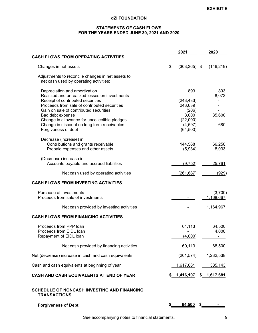# **STATEMENTS OF CASH FLOWS FOR THE YEARS ENDED JUNE 30, 2021 AND 2020**

|                                                                                                                                                                                                                                                                                                                                                          | 2021                                                                               | 2020                          |
|----------------------------------------------------------------------------------------------------------------------------------------------------------------------------------------------------------------------------------------------------------------------------------------------------------------------------------------------------------|------------------------------------------------------------------------------------|-------------------------------|
| <b>CASH FLOWS FROM OPERATING ACTIVITIES</b>                                                                                                                                                                                                                                                                                                              |                                                                                    |                               |
| Changes in net assets                                                                                                                                                                                                                                                                                                                                    | \$<br>$(303, 365)$ \$                                                              | (146, 219)                    |
| Adjustments to reconcile changes in net assets to<br>net cash used by operating activities:                                                                                                                                                                                                                                                              |                                                                                    |                               |
| Depreciation and amortization<br>Realized and unrealized losses on investments<br>Receipt of contributed securities<br>Proceeds from sale of contributed securities<br>Gain on sale of contributed securities<br>Bad debt expense<br>Change in allowance for uncollectible pledges<br>Change in discount on long term receivables<br>Forgiveness of debt | 893<br>(243, 433)<br>243,639<br>(206)<br>3,000<br>(22,000)<br>(4,597)<br>(64, 500) | 893<br>8,073<br>35,600<br>680 |
| Decrease (increase) in:<br>Contributions and grants receivable<br>Prepaid expenses and other assets                                                                                                                                                                                                                                                      | 144,568<br>(5,934)                                                                 | 66,250<br>8,033               |
| (Decrease) increase in:<br>Accounts payable and accrued liabilities                                                                                                                                                                                                                                                                                      | (9, 752)                                                                           | 25,761                        |
| Net cash used by operating activities                                                                                                                                                                                                                                                                                                                    | (261, 687)                                                                         | (929)                         |
| CASH FLOWS FROM INVESTING ACTIVITIES                                                                                                                                                                                                                                                                                                                     |                                                                                    |                               |
| Purchase of investments<br>Proceeds from sale of investments                                                                                                                                                                                                                                                                                             |                                                                                    | (3,700)<br>1,168,667          |
| Net cash provided by investing activities                                                                                                                                                                                                                                                                                                                |                                                                                    | 1,164,967                     |
| <b>CASH FLOWS FROM FINANCING ACTIVITIES</b>                                                                                                                                                                                                                                                                                                              |                                                                                    |                               |
| Proceeds from PPP loan<br>Proceeds from EIDL loan<br>Repayment of EIDL loan                                                                                                                                                                                                                                                                              | 64,113<br>(4,000)                                                                  | 64,500<br>4,000               |
| Net cash provided by financing activities                                                                                                                                                                                                                                                                                                                | 60,113                                                                             | 68,500                        |
| Net (decrease) increase in cash and cash equivalents                                                                                                                                                                                                                                                                                                     | (201, 574)                                                                         | 1,232,538                     |
| Cash and cash equivalents at beginning of year                                                                                                                                                                                                                                                                                                           | 1,617,681                                                                          | <u>385,143</u>                |
| <b>CASH AND CASH EQUIVALENTS AT END OF YEAR</b>                                                                                                                                                                                                                                                                                                          | 1,416,107                                                                          | \$ 1,617,681                  |
| <b>SCHEDULE OF NONCASH INVESTING AND FINANCING</b><br><b>TRANSACTIONS</b>                                                                                                                                                                                                                                                                                |                                                                                    |                               |
| <b>Forgiveness of Debt</b>                                                                                                                                                                                                                                                                                                                               | \$<br>64,500                                                                       |                               |
|                                                                                                                                                                                                                                                                                                                                                          |                                                                                    |                               |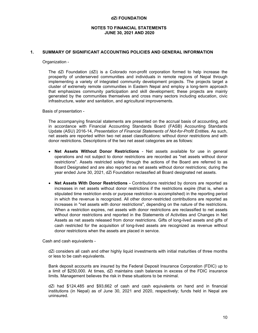# **NOTES TO FINANCIAL STATEMENTS JUNE 30, 2021 AND 2020**

# **1. SUMMARY OF SIGNIFICANT ACCOUNTING POLICIES AND GENERAL INFORMATION**

#### Organization -

The dZi Foundation (dZi) is a Colorado non-profit corporation formed to help increase the prosperity of underserved communities and individuals in remote regions of Nepal through implementing a variety of integrated community development projects. The projects target a cluster of extremely remote communities in Eastern Nepal and employ a long-term approach that emphasizes community participation and skill development; these projects are mainly generated by the communities themselves and cross many sectors including education, civic infrastructure, water and sanitation, and agricultural improvements.

Basis of presentation -

The accompanying financial statements are presented on the accrual basis of accounting, and in accordance with Financial Accounting Standards Board (FASB) Accounting Standards Update (ASU) 2016-14, *Presentation of Financial Statements of Not-for-Profit Entitie*s. As such, net assets are reported within two net asset classifications: without donor restrictions and with donor restrictions. Descriptions of the two net asset categories are as follows:

- **Net Assets Without Donor Restrictions** Net assets available for use in general operations and not subject to donor restrictions are recorded as "net assets without donor restrictions". Assets restricted solely through the actions of the Board are referred to as Board Designated and are also reported as net assets without donor restrictions; during the year ended June 30, 2021, dZi Foundation reclassfied all Board designated net assets.
- **Net Assets With Donor Restrictions -** Contributions restricted by donors are reported as increases in net assets without donor restrictions if the restrictions expire (that is, when a stipulated time restriction ends or purpose restriction is accomplished) in the reporting period in which the revenue is recognized. All other donor-restricted contributions are reported as increases in "net assets with donor restrictions", depending on the nature of the restrictions. When a restriction expires, net assets with donor restrictions are reclassified to net assets without donor restrictions and reported in the Statements of Activities and Changes in Net Assets as net assets released from donor restrictions. Gifts of long-lived assets and gifts of cash restricted for the acquisition of long-lived assets are recognized as revenue without donor restrictions when the assets are placed in service.

Cash and cash equivalents -

dZi considers all cash and other highly liquid investments with initial maturities of three months or less to be cash equivalents.

Bank deposit accounts are insured by the Federal Deposit Insurance Corporation (FDIC) up to a limit of \$250,000. At times, dZi maintains cash balances in excess of the FDIC insurance limits. Management believes the risk in these situations to be minimal.

dZi had \$124,485 and \$93,662 of cash and cash equivalents on hand and in financial institutions (in Nepal) as of June 30, 2021 and 2020, respectively; funds held in Nepal are uninsured.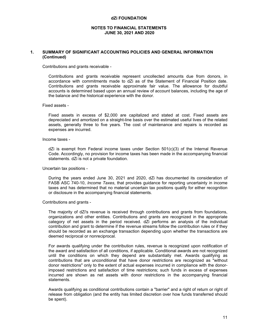#### **NOTES TO FINANCIAL STATEMENTS JUNE 30, 2021 AND 2020**

# **1. SUMMARY OF SIGNIFICANT ACCOUNTING POLICIES AND GENERAL INFORMATION (Continued)**

Contributions and grants receivable -

Contributions and grants receivable represent uncollected amounts due from donors, in accordance with commitments made to dZi as of the Statement of Financial Position date. Contributions and grants receivable approximate fair value. The allowance for doubtful accounts is determined based upon an annual review of account balances, including the age of the balance and the historical experience with the donor.

#### Fixed assets -

Fixed assets in excess of \$2,000 are capitalized and stated at cost. Fixed assets are depreciated and amortized on a straight-line basis over the estimated useful lives of the related assets, generally three to five years. The cost of maintenance and repairs is recorded as expenses are incurred.

#### Income taxes -

dZi is exempt from Federal income taxes under Section 501(c)(3) of the Internal Revenue Code. Accordingly, no provision for income taxes has been made in the accompanying financial statements. dZi is not a private foundation.

Uncertain tax positions -

During the years ended June 30, 2021 and 2020, dZi has documented its consideration of FASB ASC 740-10, *Income Taxes*, that provides guidance for reporting uncertainty in income taxes and has determined that no material uncertain tax positions qualify for either recognition or disclosure in the accompanying financial statements.

Contributions and grants -

The majority of dZi's revenue is received through contributions and grants from foundations, organizations and other entities. Contributions and grants are recognized in the appropriate category of net assets in the period received. dZi performs an analysis of the individual contribution and grant to determine if the revenue streams follow the contribution rules or if they should be recorded as an exchange transaction depending upon whether the transactions are deemed reciprocal or nonreciprocal.

For awards qualifying under the contribution rules, revenue is recognized upon notification of the award and satisfaction of all conditions, if applicable. Conditional awards are not recognized until the conditions on which they depend are substantially met. Awards qualifying as contributions that are unconditional that have donor restrictions are recognized as "without donor restrictions" only to the extent of actual expenses incurred in compliance with the donorimposed restrictions and satisfaction of time restrictions; such funds in excess of expenses incurred are shown as net assets with donor restrictions in the accompanying financial statements.

Awards qualifying as conditional contributions contain a "barrier" and a right of return or right of release from obligation (and the entity has limited discretion over how funds transferred should be spent).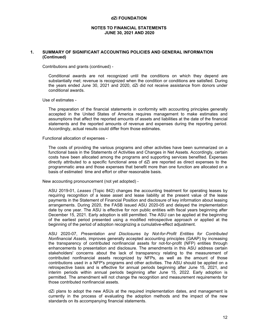#### **NOTES TO FINANCIAL STATEMENTS JUNE 30, 2021 AND 2020**

# **1. SUMMARY OF SIGNIFICANT ACCOUNTING POLICIES AND GENERAL INFORMATION (Continued)**

Contributions and grants (continued) -

Conditional awards are not recognized until the conditions on which they depend are substantially met; revenue is recognized when the condition or conditions are satisfied. During the years ended June 30, 2021 and 2020, dZi did not receive assistance from donors under conditional awards.

Use of estimates -

The preparation of the financial statements in conformity with accounting principles generally accepted in the United States of America requires management to make estimates and assumptions that affect the reported amounts of assets and liabilities at the date of the financial statements and the reported amounts of revenue and expenses during the reporting period. Accordingly, actual results could differ from those estimates.

Functional allocation of expenses -

The costs of providing the various programs and other activities have been summarized on a functional basis in the Statements of Activities and Changes in Net Assets. Accordingly, certain costs have been allocated among the programs and supporting services benefited. Expenses directly attributed to a specific functional area of dZi are reported as direct expenses to the programmatic area and those expenses that benefit more than one function are allocated on a basis of estimated time and effort or other reasonable basis.

New accounting pronouncement (not yet adopted) -

ASU 2019-01, *Leases* (Topic 842) changes the accounting treatment for operating leases by requiring recognition of a lease asset and lease liability at the present value of the lease payments in the Statement of Financial Position and disclosure of key information about leasing arrangements. During 2020, the FASB issued ASU 2020-05 and delayed the implementation date by one year. The ASU is effective for non public entities with fiscal years beginning after December 15, 2021. Early adoption is still permitted. The ASU can be applied at the beginning of the earliest period presented using a modified retrospective approach or applied at the beginning of the period of adoption recognizing a cumulative-effect adjustment.

ASU 2020-07, *Presentation and Disclosures by Not-for-Profit Entities for Contributed Nonfinancial Assets*, improves generally accepted accounting principles (GAAP) by increasing the transparency of contributed nonfinancial assets for not-for-profit (NFP) entities through enhancements to presentation and disclosure. The amendments in this ASU address certain stakeholders' concerns about the lack of transparency relating to the measurement of contributed nonfinancial assets recognized by NFPs, as well as the amount of those contributions used in a NFP's programs and other activities. The ASU should be applied on a retrospective basis and is effective for annual periods beginning after June 15, 2021, and interim periods within annual periods beginning after June 15, 2022. Early adoption is permitted. The amendment will not change the recognition and measurement requirements for those contributed nonfinancial assets.

dZi plans to adopt the new ASUs at the required implementation dates, and management is currently in the process of evaluating the adoption methods and the impact of the new standards on its accompanying financial statements.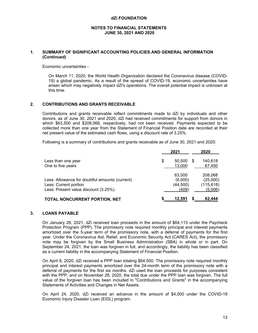### **NOTES TO FINANCIAL STATEMENTS JUNE 30, 2021 AND 2020**

# **1. SUMMARY OF SIGNIFICANT ACCOUNTING POLICIES AND GENERAL INFORMATION (Continued)**

Economic uncertainties -

On March 11, 2020, the World Health Organization declared the Coronavirus disease (COVID-19) a global pandemic. As a result of the spread of COVID-19, economic uncertainties have arisen which may negatively impact dZi's operations. The overall potential impact is unknown at this time.

# **2. CONTRIBUTIONS AND GRANTS RECEIVABLE**

Contributions and grants receivable reflect commitments made to dZi by individuals and other donors; as of June 30, 2021 and 2020, dZi had received commitments for support from donors in which \$63,500 and \$208,068, respectively, had not been received. Payments expected to be collected more than one year from the Statement of Financial Position date are recorded at their net present value of the estimated cash flows, using a discount rate of 3.25%.

Following is a summary of contributions and grants receivable as of June 30, 2021 and 2020:

|                                                                                                                 | 2021                                    |   |                                              |
|-----------------------------------------------------------------------------------------------------------------|-----------------------------------------|---|----------------------------------------------|
| Less than one year<br>One to five years                                                                         | \$<br>50,500<br>13,000                  | S | 140,618<br>67,450                            |
| Less: Allowance for doubtful amounts (current)<br>Less: Current portion<br>Less: Present value discount (3.25%) | 63,500<br>(6,000)<br>(44, 500)<br>(409) |   | 208,068<br>(25,000)<br>(115, 618)<br>(5,006) |
| <b>TOTAL NONCURRENT PORTION. NET</b>                                                                            | 12.591                                  |   | 62,444                                       |

# **3. LOANS PAYABLE**

On January 28, 2021, dZi received loan proceeds in the amount of \$64,113 under the Paycheck Protection Program (PPP). The promissory note required monthly principal and interest payments amortized over the 5-year term of the promissory note, with a deferral of payments for the first year. Under the Coronavirus Aid, Relief, and Economic Security Act (CARES Act), the promissory note may be forgiven by the Small Business Administration (SBA) in whole or in part. On September 24, 2021, the loan was forgiven in full, and accordingly, the liability has been classified as a current liability in the accompanying Statement of Financial Position.

On April 8, 2020, dZi received a PPP loan totaling \$64,500. The promissory note required monthly principal and interest payments amortized over the 24-month term of the promissory note with a deferral of payments for the first six months. dZi used the loan proceeds for purposes consistent with the PPP, and on November 28, 2020, the total due under the PPP loan was forgiven. The full value of the forgiven loan has been included in "Contributions and Grants" in the accompanying Statements of Activities and Changes in Net Assets.

On April 24, 2020, dZi received an advance in the amount of \$4,000 under the COVID-19 Economic Injury Disaster Loan (EIDL) program.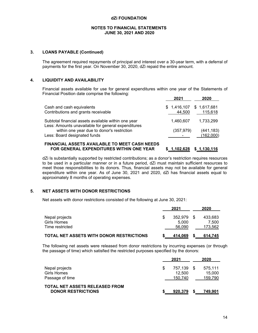# **NOTES TO FINANCIAL STATEMENTS JUNE 30, 2021 AND 2020**

# **3. LOANS PAYABLE (Continued)**

The agreement required repayments of principal and interest over a 30-year term, with a deferral of payments for the first year. On November 30, 2020, dZi repaid the entire amount.

### **4. LIQUIDITY AND AVAILABILITY**

Financial assets available for use for general expenditures within one year of the Statements of Financial Position date comprise the following:

|                                                                                                           | 2021                                | 2020                    |
|-----------------------------------------------------------------------------------------------------------|-------------------------------------|-------------------------|
| Cash and cash equivalents<br>Contributions and grants receivable                                          | $$1,416,107$ $$1,617,681$<br>44,500 | 115,618                 |
| Subtotal financial assets available within one year<br>Less: Amounts unavailable for general expenditures | 1,460,607                           | 1,733,299               |
| within one year due to donor's restriction<br>Less: Board designated funds                                | (357, 979)                          | (441, 183)<br>(162,000) |

# **FINANCIAL ASSETS AVAILABLE TO MEET CASH NEEDS FOR GENERAL EXPENDITURES WITHIN ONE YEAR \$ 1,102,628 \$ 1,130,116**

dZi Is substantially supported by restricted contributions; as a donor's restriction requires resources to be used in a particular manner or in a future period, dZi must maintain sufficient resources to meet those responsibilities to its donors. Thus, financial assets may not be available for general expenditure within one year. As of June 30, 2021 and 2020, dZi has financial assets equal to approximately 8 months of operating expenses.

# **5. NET ASSETS WITH DONOR RESTRICTIONS**

Net assets with donor restrictions consisted of the following at June 30, 2021:

|                                                  | 2021 |                            |      | 2020                        |  |  |
|--------------------------------------------------|------|----------------------------|------|-----------------------------|--|--|
| Nepal projects<br>Girls Homes<br>Time restricted | S    | 352.979<br>5.000<br>56.090 | - \$ | 433.683<br>7.500<br>173,562 |  |  |
| TOTAL NET ASSETS WITH DONOR RESTRICTIONS         |      | 414.069                    |      | 614.745                     |  |  |

The following net assets were released from donor restrictions by incurring expenses (or through the passage of time) which satisfied the restricted purposes specified by the donors:

|                                                             | 2021 |                                 |   | 2020                         |  |  |
|-------------------------------------------------------------|------|---------------------------------|---|------------------------------|--|--|
| Nepal projects<br>Girls Homes<br>Passage of time            | S    | 757.139 \$<br>12.500<br>150.740 |   | 575,111<br>15.000<br>159,790 |  |  |
| TOTAL NET ASSETS RELEASED FROM<br><b>DONOR RESTRICTIONS</b> |      | 920.379                         | S | 749.901                      |  |  |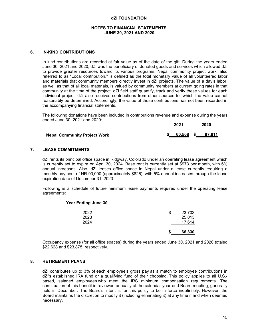#### **NOTES TO FINANCIAL STATEMENTS JUNE 30, 2021 AND 2020**

### **6. IN-KIND CONTRIBUTIONS**

In-kind contributions are recorded at fair value as of the date of the gift. During the years ended June 30, 2021 and 2020, dZi was the beneficiary of donated goods and services which allowed dZi to provide greater resources toward its various programs. Nepal community project work, also referred to as "Local contribution," is defined as the total monetary value of all volunteered labor and materials that community members directly invest in dZi projects. The value of a day's labor, as well as that of all local materials, is valued by community members at current going rates in that community at the time of the project. dZi field staff quantify, track and verify these values for each individual project. dZi also receives contributions from other sources for which the value cannot reasonably be determined. Accordingly, the value of those contributions has not been recorded in the accompanying financial statements.

The following donations have been included in contributions revenue and expense during the years ended June 30, 2021 and 2020: **2021 2020**

|                                     | --- |  |  | ∼∽∽              |  |  |
|-------------------------------------|-----|--|--|------------------|--|--|
| <b>Nepal Community Project Work</b> |     |  |  | 60,508 \$ 97,611 |  |  |

# **7. LEASE COMMITMENTS**

dZi rents its principal office space in Ridgway, Colorado under an operating lease agreement which is currently set to expire on April 30, 2024. Base rent is currently set at \$973 per month, with 6% annual increases. Also, dZi leases office space in Nepal under a lease currently requiring a monthly payment of NR 90,000 (approximately \$826), with 5% annual increases through the lease expiration date of December 31, 2023.

Following is a schedule of future minimum lease payments required under the operating lease agreements:

| Year Ending June 30, |   |                            |
|----------------------|---|----------------------------|
| 2022<br>2023<br>2024 | S | 23,703<br>25,013<br>17,614 |
|                      | S | 66,330                     |

Occupancy expense (for all office spaces) during the years ended June 30, 2021 and 2020 totaled \$22,628 and \$23,875, respectively.

# **8. RETIREMENT PLANS**

dZi contributes up to 3% of each employee's gross pay as a match to employee contributions in dZi's established IRA fund or a qualifying fund of their choosing. This policy applies to all U.S. based, salaried employees who meet the IRS minimum compensation requirements. The continuation of this benefit is reviewed annually at the calendar year-end Board meeting, generally held in December. The Board's intent is for this policy to be in force indefinitely. However, the Board maintains the discretion to modify it (including eliminating it) at any time if and when deemed necessary.